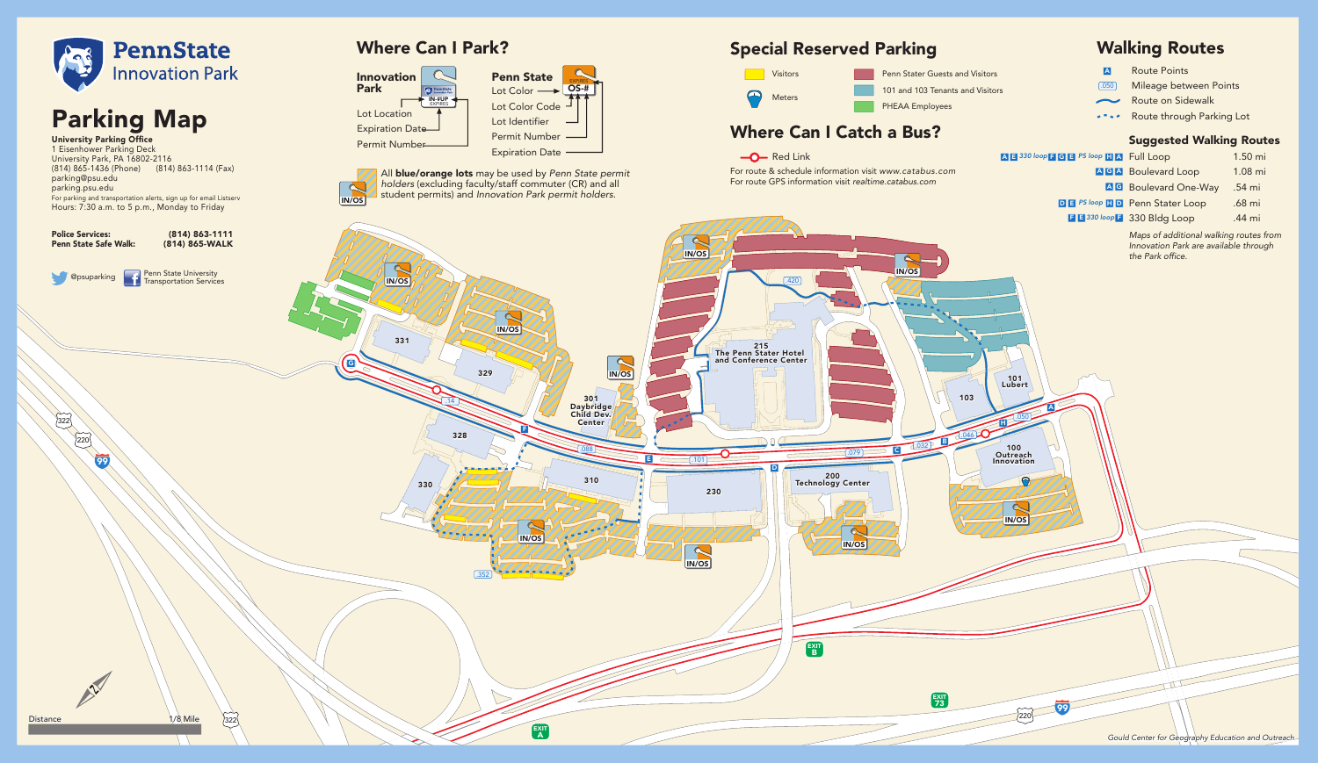

Where Can I Park?



# Special Reserved Parking

Penn Stater Guests and Visitors

- Route Points A
- 
- 
- 

| <b>FGB</b> PS loop <b>HA</b> Full Loop |                                       | $1.50 \text{ mi}$ |
|----------------------------------------|---------------------------------------|-------------------|
|                                        | AGA Boulevard Loop                    | $1.08$ mi         |
|                                        | <b>AG</b> Boulevard One-Way           | .54 mi            |
|                                        | <b>DE PS loop HD</b> Penn Stater Loop | .68 mi            |

# Walking Routes